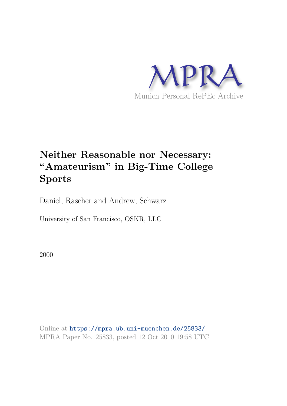

# **Neither Reasonable nor Necessary: "Amateurism" in Big-Time College Sports**

Daniel, Rascher and Andrew, Schwarz

University of San Francisco, OSKR, LLC

2000

Online at https://mpra.ub.uni-muenchen.de/25833/ MPRA Paper No. 25833, posted 12 Oct 2010 19:58 UTC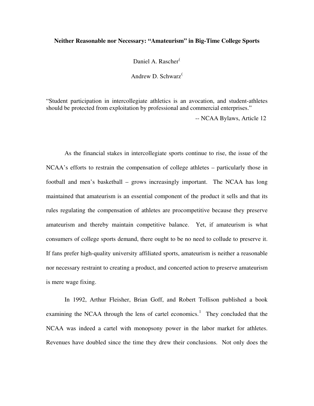## **Neither Reasonable nor Necessary: "Amateurism" in Big-Time College Sports**

Daniel A. Rascher<sup>[\(](#page-17-0)</sup>

Andrew D. Schwarz<sup>[\(](#page-17-1)</sup>

"Student participation in intercollegiate athletics is an avocation, and student-athletes should be protected from exploitation by professional and commercial enterprises."

-- NCAA Bylaws, Article 12

As the financial stakes in intercollegiate sports continue to rise, the issue of the NCAA's efforts to restrain the compensation of college athletes – particularly those in football and men's basketball – grows increasingly important. The NCAA has long maintained that amateurism is an essential component of the product it sells and that its rules regulating the compensation of athletes are procompetitive because they preserve amateurism and thereby maintain competitive balance. Yet, if amateurism is what consumers of college sports demand, there ought to be no need to collude to preserve it. If fans prefer high-quality university affiliated sports, amateurism is neither a reasonable nor necessary restraint to creating a product, and concerted action to preserve amateurism is mere wage fixing.

In 1992, Arthur Fleisher, Brian Goff, and Robert Tollison published a book examining the NCAA through the lens of cartel economics.<sup>[1](#page-17-1)</sup> They concluded that the NCAA was indeed a cartel with monopsony power in the labor market for athletes. Revenues have doubled since the time they drew their conclusions. Not only does the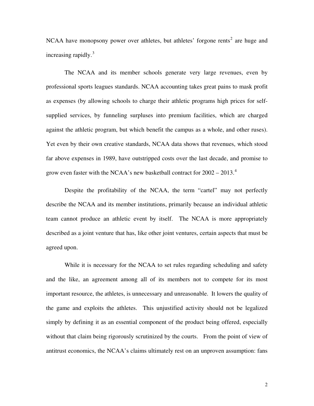NCAA have monopsony power over athletes, but athletes' forgone rents<sup>[2](#page-17-1)</sup> are huge and increasing rapidly. $3$ 

The NCAA and its member schools generate very large revenues, even by professional sports leagues standards. NCAA accounting takes great pains to mask profit as expenses (by allowing schools to charge their athletic programs high prices for selfsupplied services, by funneling surpluses into premium facilities, which are charged against the athletic program, but which benefit the campus as a whole, and other ruses). Yet even by their own creative standards, NCAA data shows that revenues, which stood far above expenses in 1989, have outstripped costs over the last decade, and promise to grow even faster with the NCAA's new basketball contract for  $2002 - 2013$ .<sup>[4](#page-17-1)</sup>

Despite the profitability of the NCAA, the term "cartel" may not perfectly describe the NCAA and its member institutions, primarily because an individual athletic team cannot produce an athletic event by itself. The NCAA is more appropriately described as a joint venture that has, like other joint ventures, certain aspects that must be agreed upon.

While it is necessary for the NCAA to set rules regarding scheduling and safety and the like, an agreement among all of its members not to compete for its most important resource, the athletes, is unnecessary and unreasonable. It lowers the quality of the game and exploits the athletes. This unjustified activity should not be legalized simply by defining it as an essential component of the product being offered, especially without that claim being rigorously scrutinized by the courts. From the point of view of antitrust economics, the NCAA's claims ultimately rest on an unproven assumption: fans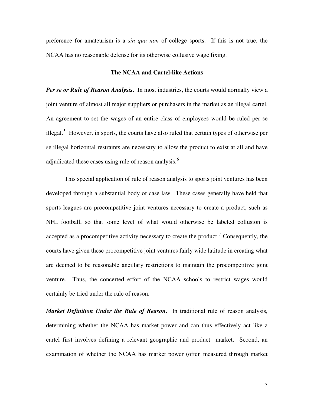preference for amateurism is a *sin qua non* of college sports. If this is not true, the NCAA has no reasonable defense for its otherwise collusive wage fixing.

#### **The NCAA and Cartel-like Actions**

*Per se or Rule of Reason Analysis*. In most industries, the courts would normally view a joint venture of almost all major suppliers or purchasers in the market as an illegal cartel. An agreement to set the wages of an entire class of employees would be ruled per se illegal.<sup>[5](#page-17-1)</sup> However, in sports, the courts have also ruled that certain types of otherwise per se illegal horizontal restraints are necessary to allow the product to exist at all and have adjudicated these cases using rule of reason analysis.<sup>[6](#page-18-0)</sup>

This special application of rule of reason analysis to sports joint ventures has been developed through a substantial body of case law. These cases generally have held that sports leagues are procompetitive joint ventures necessary to create a product, such as NFL football, so that some level of what would otherwise be labeled collusion is accepted as a procompetitive activity necessary to create the product.<sup>[7](#page-18-0)</sup> Consequently, the courts have given these procompetitive joint ventures fairly wide latitude in creating what are deemed to be reasonable ancillary restrictions to maintain the procompetitive joint venture. Thus, the concerted effort of the NCAA schools to restrict wages would certainly be tried under the rule of reason.

*Market Definition Under the Rule of Reason*. In traditional rule of reason analysis, determining whether the NCAA has market power and can thus effectively act like a cartel first involves defining a relevant geographic and product market. Second, an examination of whether the NCAA has market power (often measured through market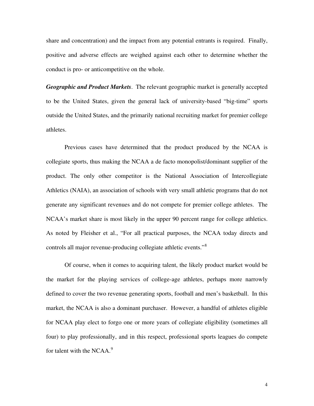share and concentration) and the impact from any potential entrants is required. Finally, positive and adverse effects are weighed against each other to determine whether the conduct is pro- or anticompetitive on the whole.

*Geographic and Product Markets*. The relevant geographic market is generally accepted to be the United States, given the general lack of university-based "big-time" sports outside the United States, and the primarily national recruiting market for premier college athletes.

Previous cases have determined that the product produced by the NCAA is collegiate sports, thus making the NCAA a de facto monopolist/dominant supplier of the product. The only other competitor is the National Association of Intercollegiate Athletics (NAIA), an association of schools with very small athletic programs that do not generate any significant revenues and do not compete for premier college athletes. The NCAA's market share is most likely in the upper 90 percent range for college athletics. As noted by Fleisher et al., "For all practical purposes, the NCAA today directs and controls all major revenue-producing collegiate athletic events."[8](#page-18-0)

Of course, when it comes to acquiring talent, the likely product market would be the market for the playing services of college-age athletes, perhaps more narrowly defined to cover the two revenue generating sports, football and men's basketball. In this market, the NCAA is also a dominant purchaser. However, a handful of athletes eligible for NCAA play elect to forgo one or more years of collegiate eligibility (sometimes all four) to play professionally, and in this respect, professional sports leagues do compete for talent with the NCAA. $9$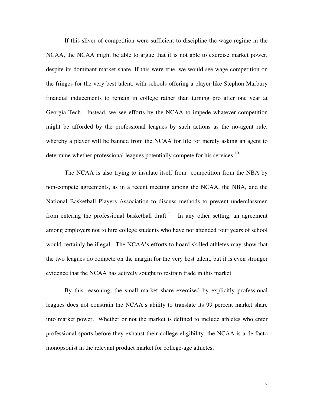If this sliver of competition were sufficient to discipline the wage regime in the NCAA, the NCAA might be able to argue that it is not able to exercise market power, despite its dominant market share. If this were true, we would see wage competition on the fringes for the very best talent, with schools offering a player like Stephon Marbury financial inducements to remain in college rather than turning pro after one year at Georgia Tech. Instead, we see efforts by the NCAA to impede whatever competition might be afforded by the professional leagues by such actions as the no-agent rule, whereby a player will be banned from the NCAA for life for merely asking an agent to determine whether professional leagues potentially compete for his services.<sup>[10](#page-18-0)</sup>

The NCAA is also trying to insulate itself from competition from the NBA by non-compete agreements, as in a recent meeting among the NCAA, the NBA, and the National Basketball Players Association to discuss methods to prevent underclassmen from entering the professional basketball draft.<sup>[11](#page-18-0)</sup> In any other setting, an agreement among employers not to hire college students who have not attended four years of school would certainly be illegal. The NCAA's efforts to hoard skilled athletes may show that the two leagues do compete on the margin for the very best talent, but it is even stronger evidence that the NCAA has actively sought to restrain trade in this market.

By this reasoning, the small market share exercised by explicitly professional leagues does not constrain the NCAA's ability to translate its 99 percent market share into market power. Whether or not the market is defined to include athletes who enter professional sports before they exhaust their college eligibility, the NCAA is a de facto monopsonist in the relevant product market for college-age athletes.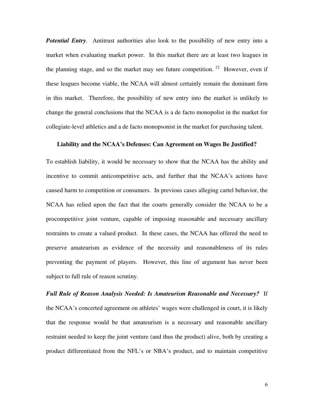**Potential Entry.** Antitrust authorities also look to the possibility of new entry into a market when evaluating market power. In this market there are at least two leagues in the planning stage, and so the market may see future competition. <sup>[12](#page-18-0)</sup> However, even if these leagues become viable, the NCAA will almost certainly remain the dominant firm in this market. Therefore, the possibility of new entry into the market is unlikely to change the general conclusions that the NCAA is a de facto monopolist in the market for collegiate-level athletics and a de facto monopsonist in the market for purchasing talent.

## **Liability and the NCAA's Defenses: Can Agreement on Wages Be Justified?**

To establish liability, it would be necessary to show that the NCAA has the ability and incentive to commit anticompetitive acts, and further that the NCAA's actions have caused harm to competition or consumers. In previous cases alleging cartel behavior, the NCAA has relied upon the fact that the courts generally consider the NCAA to be a procompetitive joint venture, capable of imposing reasonable and necessary ancillary restraints to create a valued product. In these cases, the NCAA has offered the need to preserve amateurism as evidence of the necessity and reasonableness of its rules preventing the payment of players. However, this line of argument has never been subject to full rule of reason scrutiny.

*Full Rule of Reason Analysis Needed: Is Amateurism Reasonable and Necessary?* If the NCAA's concerted agreement on athletes' wages were challenged in court, it is likely that the response would be that amateurism is a necessary and reasonable ancillary restraint needed to keep the joint venture (and thus the product) alive, both by creating a product differentiated from the NFL's or NBA's product, and to maintain competitive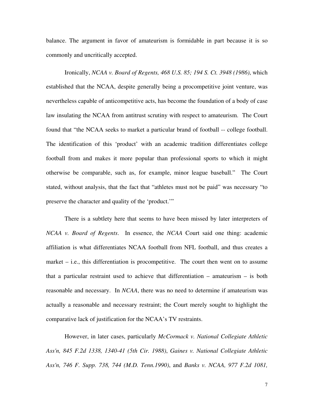balance. The argument in favor of amateurism is formidable in part because it is so commonly and uncritically accepted.

Ironically, *NCAA v. Board of Regents, 468 U.S. 85; 194 S. Ct. 3948 (1986)*, which established that the NCAA, despite generally being a procompetitive joint venture, was nevertheless capable of anticompetitive acts, has become the foundation of a body of case law insulating the NCAA from antitrust scrutiny with respect to amateurism. The Court found that "the NCAA seeks to market a particular brand of football -- college football. The identification of this 'product' with an academic tradition differentiates college football from and makes it more popular than professional sports to which it might otherwise be comparable, such as, for example, minor league baseball." The Court stated, without analysis, that the fact that "athletes must not be paid" was necessary "to preserve the character and quality of the 'product.'"

There is a subtlety here that seems to have been missed by later interpreters of *NCAA v. Board of Regents*. In essence, the *NCAA* Court said one thing: academic affiliation is what differentiates NCAA football from NFL football, and thus creates a market – i.e., this differentiation is procompetitive. The court then went on to assume that a particular restraint used to achieve that differentiation – amateurism – is both reasonable and necessary. In *NCAA*, there was no need to determine if amateurism was actually a reasonable and necessary restraint; the Court merely sought to highlight the comparative lack of justification for the NCAA's TV restraints.

However, in later cases, particularly *McCormack v. National Collegiate Athletic Ass'n, 845 F.2d 1338, 1340-41 (5th Cir. 1988)*, *Gaines v. National Collegiate Athletic Ass'n, 746 F. Supp. 738, 744 (M.D. Tenn.1990)*, and *Banks v. NCAA, 977 F.2d 1081,*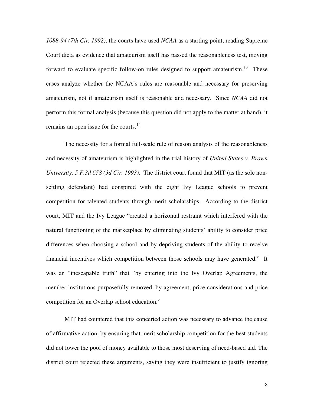*1088-94 (7th Cir. 1992)*, the courts have used *NCAA* as a starting point, reading Supreme Court dicta as evidence that amateurism itself has passed the reasonableness test, moving forward to evaluate specific follow-on rules designed to support amateurism.<sup>[13](#page-18-0)</sup> These cases analyze whether the NCAA's rules are reasonable and necessary for preserving amateurism, not if amateurism itself is reasonable and necessary. Since *NCAA* did not perform this formal analysis (because this question did not apply to the matter at hand), it remains an open issue for the courts.<sup>[14](#page-18-0)</sup>

The necessity for a formal full-scale rule of reason analysis of the reasonableness and necessity of amateurism is highlighted in the trial history of *United States v. Brown University, 5 F.3d 658 (3d Cir. 1993)*. The district court found that MIT (as the sole nonsettling defendant) had conspired with the eight Ivy League schools to prevent competition for talented students through merit scholarships. According to the district court, MIT and the Ivy League "created a horizontal restraint which interfered with the natural functioning of the marketplace by eliminating students' ability to consider price differences when choosing a school and by depriving students of the ability to receive financial incentives which competition between those schools may have generated." It was an "inescapable truth" that "by entering into the Ivy Overlap Agreements, the member institutions purposefully removed, by agreement, price considerations and price competition for an Overlap school education."

MIT had countered that this concerted action was necessary to advance the cause of affirmative action, by ensuring that merit scholarship competition for the best students did not lower the pool of money available to those most deserving of need-based aid. The district court rejected these arguments, saying they were insufficient to justify ignoring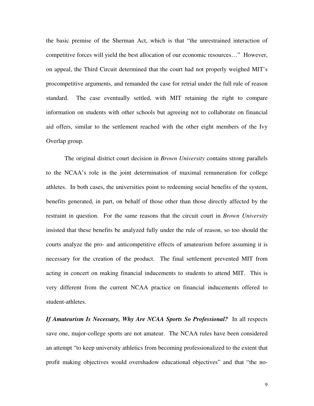the basic premise of the Sherman Act, which is that "the unrestrained interaction of competitive forces will yield the best allocation of our economic resources…" However, on appeal, the Third Circuit determined that the court had not properly weighed MIT's procompetitive arguments, and remanded the case for retrial under the full rule of reason standard. The case eventually settled, with MIT retaining the right to compare information on students with other schools but agreeing not to collaborate on financial aid offers, similar to the settlement reached with the other eight members of the Ivy Overlap group.

The original district court decision in *Brown University* contains strong parallels to the NCAA's role in the joint determination of maximal remuneration for college athletes. In both cases, the universities point to redeeming social benefits of the system, benefits generated, in part, on behalf of those other than those directly affected by the restraint in question. For the same reasons that the circuit court in *Brown University* insisted that these benefits be analyzed fully under the rule of reason, so too should the courts analyze the pro- and anticompetitive effects of amateurism before assuming it is necessary for the creation of the product. The final settlement prevented MIT from acting in concert on making financial inducements to students to attend MIT. This is very different from the current NCAA practice on financial inducements offered to student-athletes.

*If Amateurism Is Necessary, Why Are NCAA Sports So Professional?* In all respects save one, major-college sports are not amateur. The NCAA rules have been considered an attempt "to keep university athletics from becoming professionalized to the extent that profit making objectives would overshadow educational objectives" and that "the no-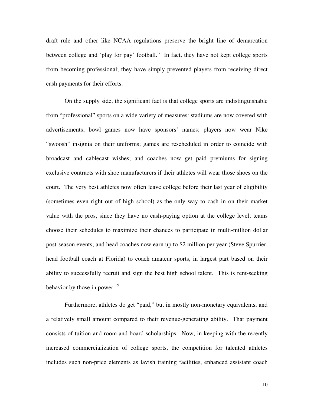draft rule and other like NCAA regulations preserve the bright line of demarcation between college and 'play for pay' football." In fact, they have not kept college sports from becoming professional; they have simply prevented players from receiving direct cash payments for their efforts.

On the supply side, the significant fact is that college sports are indistinguishable from "professional" sports on a wide variety of measures: stadiums are now covered with advertisements; bowl games now have sponsors' names; players now wear Nike "swoosh" insignia on their uniforms; games are rescheduled in order to coincide with broadcast and cablecast wishes; and coaches now get paid premiums for signing exclusive contracts with shoe manufacturers if their athletes will wear those shoes on the court. The very best athletes now often leave college before their last year of eligibility (sometimes even right out of high school) as the only way to cash in on their market value with the pros, since they have no cash-paying option at the college level; teams choose their schedules to maximize their chances to participate in multi-million dollar post-season events; and head coaches now earn up to \$2 million per year (Steve Spurrier, head football coach at Florida) to coach amateur sports, in largest part based on their ability to successfully recruit and sign the best high school talent. This is rent-seeking behavior by those in power. $15$ 

Furthermore, athletes do get "paid," but in mostly non-monetary equivalents, and a relatively small amount compared to their revenue-generating ability. That payment consists of tuition and room and board scholarships. Now, in keeping with the recently increased commercialization of college sports, the competition for talented athletes includes such non-price elements as lavish training facilities, enhanced assistant coach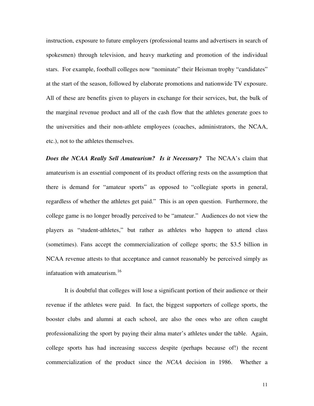instruction, exposure to future employers (professional teams and advertisers in search of spokesmen) through television, and heavy marketing and promotion of the individual stars. For example, football colleges now "nominate" their Heisman trophy "candidates" at the start of the season, followed by elaborate promotions and nationwide TV exposure. All of these are benefits given to players in exchange for their services, but, the bulk of the marginal revenue product and all of the cash flow that the athletes generate goes to the universities and their non-athlete employees (coaches, administrators, the NCAA, etc.), not to the athletes themselves.

*Does the NCAA Really Sell Amateurism? Is it Necessary?* The NCAA's claim that amateurism is an essential component of its product offering rests on the assumption that there is demand for "amateur sports" as opposed to "collegiate sports in general, regardless of whether the athletes get paid." This is an open question. Furthermore, the college game is no longer broadly perceived to be "amateur." Audiences do not view the players as "student-athletes," but rather as athletes who happen to attend class (sometimes). Fans accept the commercialization of college sports; the \$3.5 billion in NCAA revenue attests to that acceptance and cannot reasonably be perceived simply as infatuation with amateurism.<sup>[16](#page-19-0)</sup>

It is doubtful that colleges will lose a significant portion of their audience or their revenue if the athletes were paid. In fact, the biggest supporters of college sports, the booster clubs and alumni at each school, are also the ones who are often caught professionalizing the sport by paying their alma mater's athletes under the table. Again, college sports has had increasing success despite (perhaps because of!) the recent commercialization of the product since the *NCAA* decision in 1986. Whether a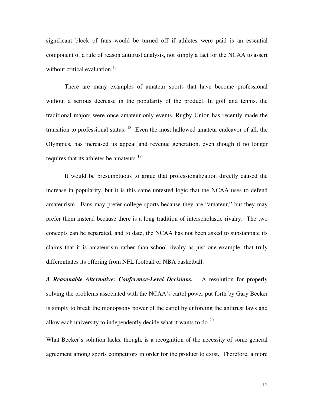significant block of fans would be turned off if athletes were paid is an essential component of a rule of reason antitrust analysis, not simply a fact for the NCAA to assert without critical evaluation.<sup>[17](#page-19-0)</sup>

There are many examples of amateur sports that have become professional without a serious decrease in the popularity of the product. In golf and tennis, the traditional majors were once amateur-only events. Rugby Union has recently made the transition to professional status.  $18$  Even the most hallowed amateur endeavor of all, the Olympics, has increased its appeal and revenue generation, even though it no longer requires that its athletes be amateurs.<sup>[19](#page-19-0)</sup>

It would be presumptuous to argue that professionalization directly caused the increase in popularity, but it is this same untested logic that the NCAA uses to defend amateurism. Fans may prefer college sports because they are "amateur," but they may prefer them instead because there is a long tradition of interscholastic rivalry. The two concepts can be separated, and to date, the NCAA has not been asked to substantiate its claims that it is amateurism rather than school rivalry as just one example, that truly differentiates its offering from NFL football or NBA basketball.

*A Reasonable Alternative: Conference-Level Decisions.* A resolution for properly solving the problems associated with the NCAA's cartel power put forth by Gary Becker is simply to break the monopsony power of the cartel by enforcing the antitrust laws and allow each university to independently decide what it wants to do.<sup>[20](#page-19-0)</sup>

What Becker's solution lacks, though, is a recognition of the necessity of some general agreement among sports competitors in order for the product to exist. Therefore, a more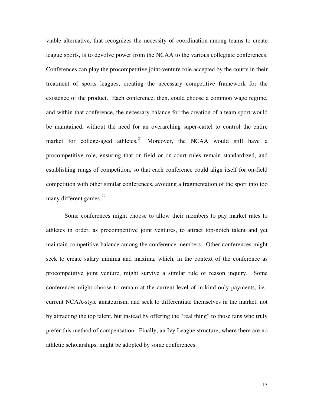viable alternative, that recognizes the necessity of coordination among teams to create league sports, is to devolve power from the NCAA to the various collegiate conferences. Conferences can play the procompetitive joint-venture role accepted by the courts in their treatment of sports leagues, creating the necessary competitive framework for the existence of the product. Each conference, then, could choose a common wage regime, and within that conference, the necessary balance for the creation of a team sport would be maintained, without the need for an overarching super-cartel to control the entire market for college-aged athletes.<sup>[21](#page-19-0)</sup> Moreover, the NCAA would still have a procompetitive role, ensuring that on-field or on-court rules remain standardized, and establishing rungs of competition, so that each conference could align itself for on-field competition with other similar conferences, avoiding a fragmentation of the sport into too many different games. $^{22}$  $^{22}$  $^{22}$ 

Some conferences might choose to allow their members to pay market rates to athletes in order, as procompetitive joint ventures, to attract top-notch talent and yet maintain competitive balance among the conference members. Other conferences might seek to create salary minima and maxima, which, in the context of the conference as procompetitive joint venture, might survive a similar rule of reason inquiry. Some conferences might choose to remain at the current level of in-kind-only payments, i.e., current NCAA-style amateurism, and seek to differentiate themselves in the market, not by attracting the top talent, but instead by offering the "real thing" to those fans who truly prefer this method of compensation. Finally, an Ivy League structure, where there are no athletic scholarships, might be adopted by some conferences.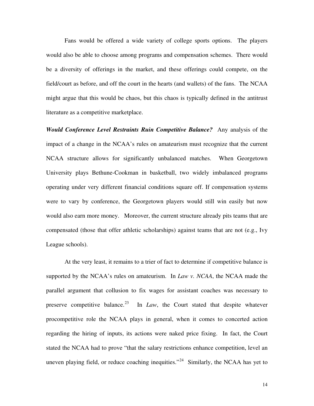Fans would be offered a wide variety of college sports options. The players would also be able to choose among programs and compensation schemes. There would be a diversity of offerings in the market, and these offerings could compete, on the field/court as before, and off the court in the hearts (and wallets) of the fans. The NCAA might argue that this would be chaos, but this chaos is typically defined in the antitrust literature as a competitive marketplace.

*Would Conference Level Restraints Ruin Competitive Balance?* Any analysis of the impact of a change in the NCAA's rules on amateurism must recognize that the current NCAA structure allows for significantly unbalanced matches. When Georgetown University plays Bethune-Cookman in basketball, two widely imbalanced programs operating under very different financial conditions square off. If compensation systems were to vary by conference, the Georgetown players would still win easily but now would also earn more money. Moreover, the current structure already pits teams that are compensated (those that offer athletic scholarships) against teams that are not (e.g., Ivy League schools).

At the very least, it remains to a trier of fact to determine if competitive balance is supported by the NCAA's rules on amateurism. In *Law v. NCAA*, the NCAA made the parallel argument that collusion to fix wages for assistant coaches was necessary to preserve competitive balance.<sup>[23](#page-19-0)</sup> In *Law*, the Court stated that despite whatever procompetitive role the NCAA plays in general, when it comes to concerted action regarding the hiring of inputs, its actions were naked price fixing. In fact, the Court stated the NCAA had to prove "that the salary restrictions enhance competition, level an uneven playing field, or reduce coaching inequities."<sup>[24](#page-19-0)</sup> Similarly, the NCAA has yet to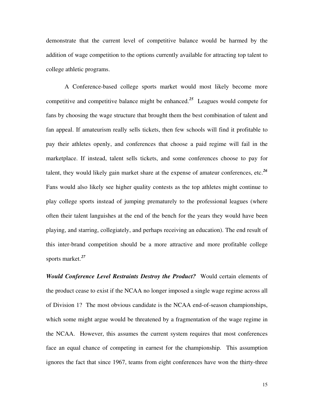demonstrate that the current level of competitive balance would be harmed by the addition of wage competition to the options currently available for attracting top talent to college athletic programs.

A Conference-based college sports market would most likely become more competitive and competitive balance might be enhanced.*[25](#page-19-0)* Leagues would compete for fans by choosing the wage structure that brought them the best combination of talent and fan appeal. If amateurism really sells tickets, then few schools will find it profitable to pay their athletes openly, and conferences that choose a paid regime will fail in the marketplace. If instead, talent sells tickets, and some conferences choose to pay for talent, they would likely gain market share at the expense of amateur conferences, etc.*[26](#page-19-0)* Fans would also likely see higher quality contests as the top athletes might continue to play college sports instead of jumping prematurely to the professional leagues (where often their talent languishes at the end of the bench for the years they would have been playing, and starring, collegiately, and perhaps receiving an education). The end result of this inter-brand competition should be a more attractive and more profitable college sports market.*[27](#page-19-0)*

*Would Conference Level Restraints Destroy the Product?* Would certain elements of the product cease to exist if the NCAA no longer imposed a single wage regime across all of Division 1? The most obvious candidate is the NCAA end-of-season championships, which some might argue would be threatened by a fragmentation of the wage regime in the NCAA. However, this assumes the current system requires that most conferences face an equal chance of competing in earnest for the championship. This assumption ignores the fact that since 1967, teams from eight conferences have won the thirty-three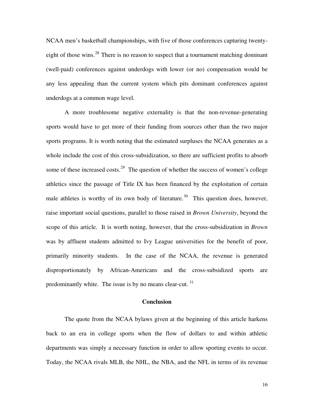NCAA men's basketball championships, with five of those conferences capturing twenty-eight of those wins.<sup>[28](#page-20-0)</sup> There is no reason to suspect that a tournament matching dominant (well-paid) conferences against underdogs with lower (or no) compensation would be any less appealing than the current system which pits dominant conferences against underdogs at a common wage level.

A more troublesome negative externality is that the non-revenue-generating sports would have to get more of their funding from sources other than the two major sports programs. It is worth noting that the estimated surpluses the NCAA generates as a whole include the cost of this cross-subsidization, so there are sufficient profits to absorb some of these increased costs.<sup>[29](#page-20-0)</sup> The question of whether the success of women's college athletics since the passage of Title IX has been financed by the exploitation of certain male athletes is worthy of its own body of literature.<sup>[30](#page-20-0)</sup> This question does, however, raise important social questions, parallel to those raised in *Brown University*, beyond the scope of this article. It is worth noting, however, that the cross-subsidization in *Brown* was by affluent students admitted to Ivy League universities for the benefit of poor, primarily minority students. In the case of the NCAA, the revenue is generated disproportionately by African-Americans and the cross-subsidized sports are predominantly white. The issue is by no means clear-cut.  $31$ 

## **Conclusion**

The quote from the NCAA bylaws given at the beginning of this article harkens back to an era in college sports when the flow of dollars to and within athletic departments was simply a necessary function in order to allow sporting events to occur. Today, the NCAA rivals MLB, the NHL, the NBA, and the NFL in terms of its revenue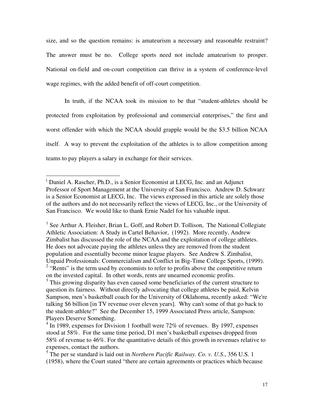<span id="page-17-1"></span>size, and so the question remains: is amateurism a necessary and reasonable restraint? The answer must be no. College sports need not include amateurism to prosper. National on-field and on-court competition can thrive in a system of conference-level wage regimes, with the added benefit of off-court competition.

In truth, if the NCAA took its mission to be that "student-athletes should be protected from exploitation by professional and commercial enterprises," the first and worst offender with which the NCAA should grapple would be the \$3.5 billion NCAA itself. A way to prevent the exploitation of the athletes is to allow competition among teams to pay players a salary in exchange for their services.

-

<span id="page-17-0"></span><sup>(</sup> Daniel A. Rascher, Ph.D., is a Senior Economist at LECG, Inc. and an Adjunct Professor of Sport Management at the University of San Francisco. Andrew D. Schwarz is a Senior Economist at LECG, Inc. The views expressed in this article are solely those of the authors and do not necessarily reflect the views of LECG, Inc., or the University of San Francisco. We would like to thank Ernie Nadel for his valuable input.

<sup>&</sup>lt;sup>1</sup> See Arthur A. Fleisher, Brian L. Goff, and Robert D. Tollison, The National Collegiate Athletic Association: A Study in Cartel Behavior, (1992). More recently, Andrew Zimbalist has discussed the role of the NCAA and the exploitation of college athletes. He does not advocate paying the athletes unless they are removed from the student population and essentially become minor league players. See Andrew S. Zimbalist, Unpaid Professionals: Commercialism and Conflict in Big-Time College Sports, (1999). <sup>2</sup> "Rents" is the term used by economists to refer to profits above the competitive return on the invested capital. In other words, rents are unearned economic profits.

<sup>&</sup>lt;sup>3</sup> This growing disparity has even caused some beneficiaries of the current structure to question its fairness. Without directly advocating that college athletes be paid, Kelvin Sampson, men's basketball coach for the University of Oklahoma, recently asked: "We're talking \$6 billion [in TV revenue over eleven years]. Why can't some of that go back to the student-athlete?" See the December 15, 1999 Associated Press article, Sampson: Players Deserve Something.

<sup>&</sup>lt;sup>4</sup> In 1989, expenses for Division 1 football were 72% of revenues. By 1997, expenses stood at 58%. For the same time period, D1 men's basketball expenses dropped from 58% of revenue to 46%. For the quantitative details of this growth in revenues relative to expenses, contact the authors.

<sup>5</sup> The per se standard is laid out in *Northern Pacific Railway. Co. v. U.S*., 356 U.S. 1 (1958), where the Court stated "there are certain agreements or practices which because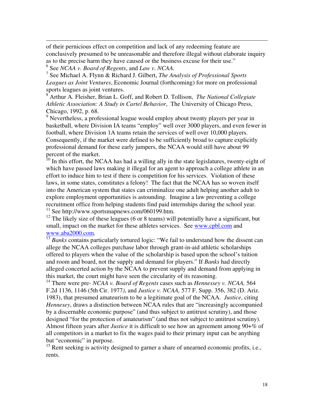of their pernicious effect on competition and lack of any redeeming feature are conclusively presumed to be unreasonable and therefore illegal without elaborate inquiry as to the precise harm they have caused or the business excuse for their use."

6 See *NCAA v. Board of Regents*, and *Law v. NCAA.*

<span id="page-18-0"></span>-

7 See Michael A. Flynn & Richard J. Gilbert, *The Analysis of Professional Sports Leagues as Joint Ventures*, Economic Journal (forthcoming) for more on professional sports leagues as joint ventures.

8 Arthur A. Fleisher, Brian L. Goff, and Robert D. Tollison, *The National Collegiate Athletic Association: A Study in Cartel Behavior*, The University of Chicago Press, Chicago, 1992, p. 68.

<sup>9</sup> Nevertheless, a professional league would employ about twenty players per year in basketball, where Division IA teams "employ" well over 3000 players, and even fewer in football, where Division 1A teams retain the services of well over 10,000 players. Consequently, if the market were defined to be sufficiently broad to capture explicitly professional demand for these early jumpers, the NCAA would still have about 99 percent of the market.

<sup>10</sup> In this effort, the NCAA has had a willing ally in the state legislatures, twenty-eight of which have passed laws making it illegal for an agent to approach a college athlete in an effort to induce him to test if there is competition for his services. Violation of these laws, in some states, constitutes a felony! The fact that the NCAA has so woven itself into the American system that states can criminalize one adult helping another adult to explore employment opportunities is astounding. Imagine a law preventing a college recruitment office from helping students find paid internships during the school year. <sup>11</sup> See http://www.sportsmapnews.com/060199.htm.

 $12$  The likely size of these leagues (6 or 8 teams) will potentially have a significant, but small, impact on the market for these athletes services. See [www.cpbl.com](http://www.cpbl.com/) and [www.aba2000.com](http://www.aba2000.com/).

<sup>13</sup> *Banks* contains particularly tortured logic: "We fail to understand how the dissent can allege the NCAA colleges purchase labor through grant-in-aid athletic scholarships offered to players when the value of the scholarship is based upon the school's tuition and room and board, not the supply and demand for players." If *Banks* had directly alleged concerted action by the NCAA to prevent supply and demand from applying in this market, the court might have seen the circularity of its reasoning.

<sup>14</sup> There were pre- *NCAA v. Board of Regents* cases such as *Hennessey v. NCAA,* 564 F.2d 1136, 1146 (5th Cir. 1977*)*, and *Justice v. NCAA,* 577 F. Supp. 356, 382 (D. Ariz. 1983), that presumed amateurism to be a legitimate goal of the NCAA. *Justice*, citing *Hennesey*, draws a distinction between NCAA rules that are "increasingly accompanied by a discernable economic purpose" (and thus subject to antitrust scrutiny), and those designed "for the protection of amateurism" (and thus not subject to antitrust scrutiny). Almost fifteen years after *Justice* it is difficult to see how an agreement among 90+% of all competitors in a market to fix the wages paid to their primary input can be anything but "economic" in purpose.

<sup>15</sup> Rent seeking is activity designed to garner a share of unearned economic profits, i.e., rents.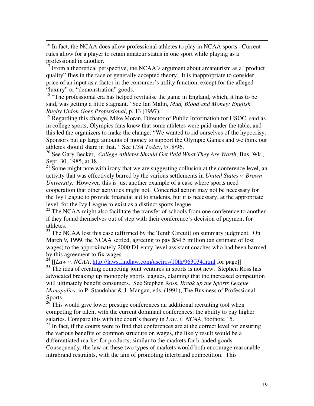<span id="page-19-0"></span> $16$  In fact, the NCAA does allow professional athletes to play in NCAA sports. Current rules allow for a player to retain amateur status in one sport while playing as a professional in another.

-

From a theoretical perspective, the NCAA's argument about amateurism as a "product" quality" flies in the face of generally accepted theory. It is inappropriate to consider price of an input as a factor in the consumer's utility function, except for the alleged "luxury" or "demonstration" goods.

 $18$  "The professional era has helped revitalise the game in England, which, it has to be said, was getting a little stagnant." See Ian Malin, *Mud, Blood and Money: English Rugby Union Goes Professional*, p. 13 (1997).

 $19$  Regarding this change, Mike Moran, Director of Public Information for USOC, said as in college sports, Olympics fans knew that some athletes were paid under the table, and this led the organizers to make the change: "We wanted to rid ourselves of the hypocrisy. Sponsors put up large amounts of money to support the Olympic Games and we think our athletes should share in that." See *USA Today*, 9/18/96.

<sup>20</sup> See Gary Becker, *College Athletes Should Get Paid What They Are Worth*, Bus. Wk., Sept. 30, 1985, at 18.

 $21$  Some might note with irony that we are suggesting collusion at the conference level, an activity that was effectively barred by the various settlements in *United States v. Brown University*. However, this is just another example of a case where sports need cooperation that other activities might not. Concerted action may not be necessary for the Ivy League to provide financial aid to students, but it is necessary, at the appropriate level, for the Ivy League to exist as a distinct sports league.

 $^{22}$  The NCAA might also facilitate the transfer of schools from one conference to another if they found themselves out of step with their conference's decision of payment for athletes.

 $23$  The NCAA lost this case (affirmed by the Tenth Circuit) on summary judgment. On March 9, 1999, the NCAA settled, agreeing to pay \$54.5 million (an estimate of lost wages) to the approximately 2000 D1 entry-level assistant coaches who had been harmed by this agreement to fix wages.

<sup>24</sup>  $[I_{\text{Law}} v. NCAA, \frac{http://laws.findlaw.com/uscircs/10th/963034.html}{http://laws.findlaw.com/uscircs/10th/963034.html}$  $[I_{\text{Law}} v. NCAA, \frac{http://laws.findlaw.com/uscircs/10th/963034.html}{http://laws.findlaw.com/uscircs/10th/963034.html}$  $[I_{\text{Law}} v. NCAA, \frac{http://laws.findlaw.com/uscircs/10th/963034.html}{http://laws.findlaw.com/uscircs/10th/963034.html}$  for page]]

<sup>25</sup> The idea of creating competing joint ventures in sports is not new. Stephen Ross has advocated breaking up monopoly sports leagues, claiming that the increased competition will ultimately benefit consumers. See Stephen Ross, *Break up the Sports League Monopolies*, in P. Staudohar & J. Mangan, eds. (1991), The Business of Professional Sports.

 $26$ <sup>26</sup> This would give lower prestige conferences an additional recruiting tool when competing for talent with the current dominant conferences: the ability to pay higher salaries. Compare this with the court's theory in *Law. v. NCAA*, footnote 15.

 $27$  In fact, if the courts were to find that conferences are at the correct level for ensuring the various benefits of common structure on wages, the likely result would be a differentiated market for products, similar to the markets for branded goods.

Consequently, the law on these two types of markets would both encourage reasonable intrabrand restraints, with the aim of promoting interbrand competition. This